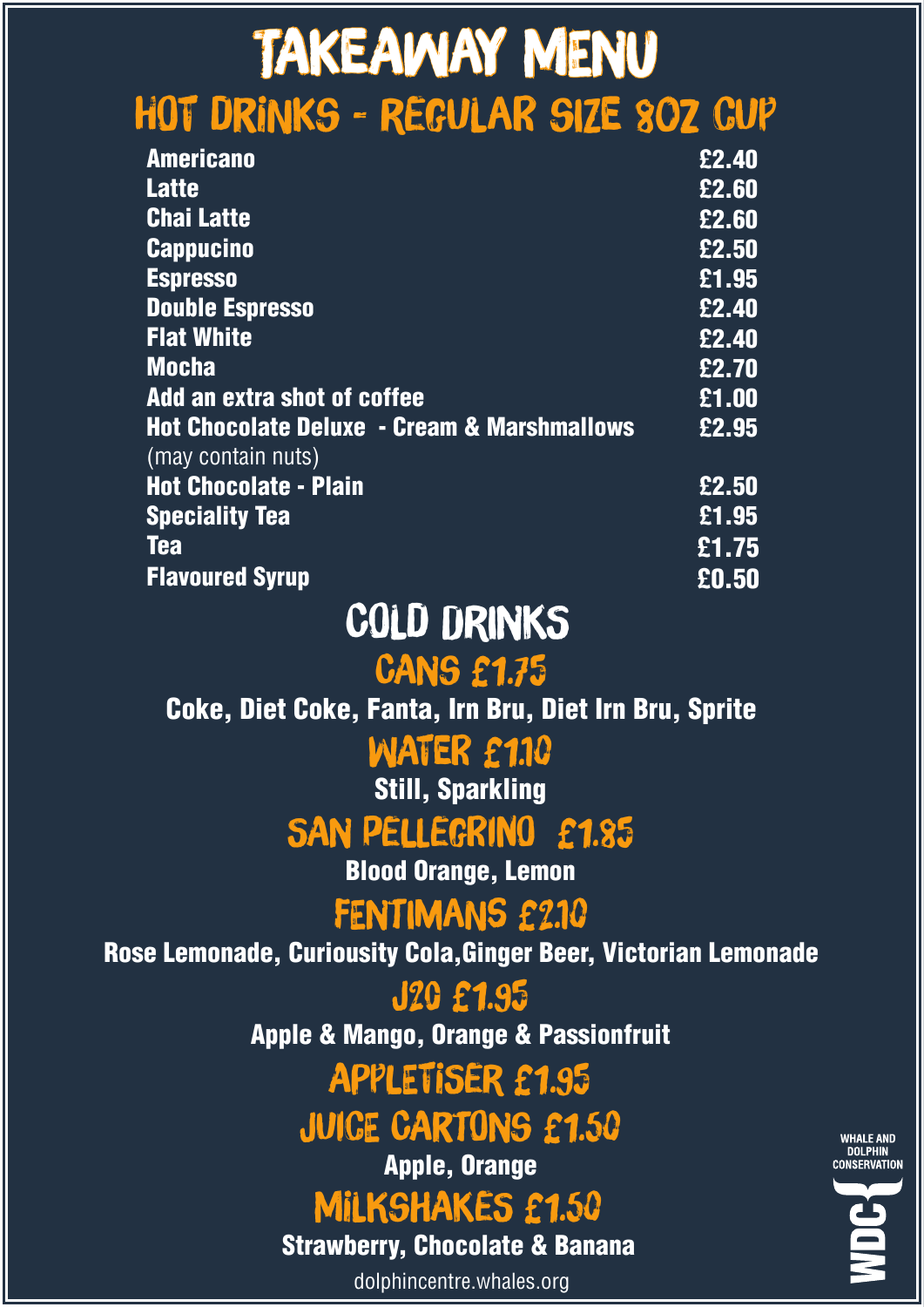# Takeaway Menu Hot Drinks - Regular size 8oz cup

| <b>Americano</b>                                                             | £2.40               |
|------------------------------------------------------------------------------|---------------------|
| <b>Latte</b>                                                                 | £2.60               |
| <b>Chai Latte</b>                                                            | £2.60               |
| <b>Cappucino</b>                                                             | £2.50               |
| <b>Espresso</b>                                                              | $\overline{£1.95}$  |
| <b>Double Espresso</b>                                                       | £2.40               |
| <b>Flat White</b>                                                            | £2.40               |
| <b>Mocha</b>                                                                 | £2.70               |
| Add an extra shot of coffee                                                  | £1.00               |
| <b>Hot Chocolate Deluxe - Cream &amp; Marshmallows</b><br>(may contain nuts) | £2.95               |
| <b>Hot Chocolate - Plain</b>                                                 | $\overline{E}$ 2.50 |
| <b>Speciality Tea</b>                                                        | $\overline{£}$ 1.95 |
| <b>Tea</b>                                                                   | £1.75               |
| <b>Flavoured Syrup</b>                                                       | £0.50               |

### Cold Drinks

#### Cans £1.75

Coke, Diet Coke, Fanta, Irn Bru, Diet Irn Bru, Sprite

WATER £1.10

**Still, Sparkling** 

#### SAN PELLEGRINO £1.85

Blood Orange, Lemon

#### FENTIMANS £2.10

Rose Lemonade, Curiousity Cola,Ginger Beer, Victorian Lemonade

J20 £1.95 Apple & Mango, Orange & Passionfruit

## Appletiser £1.95

#### Juice Cartons £1.50

Apple, Orange

## MILKSHAKES £1.50

Strawberry, Chocolate & Banana

dolphincentre.whales.org